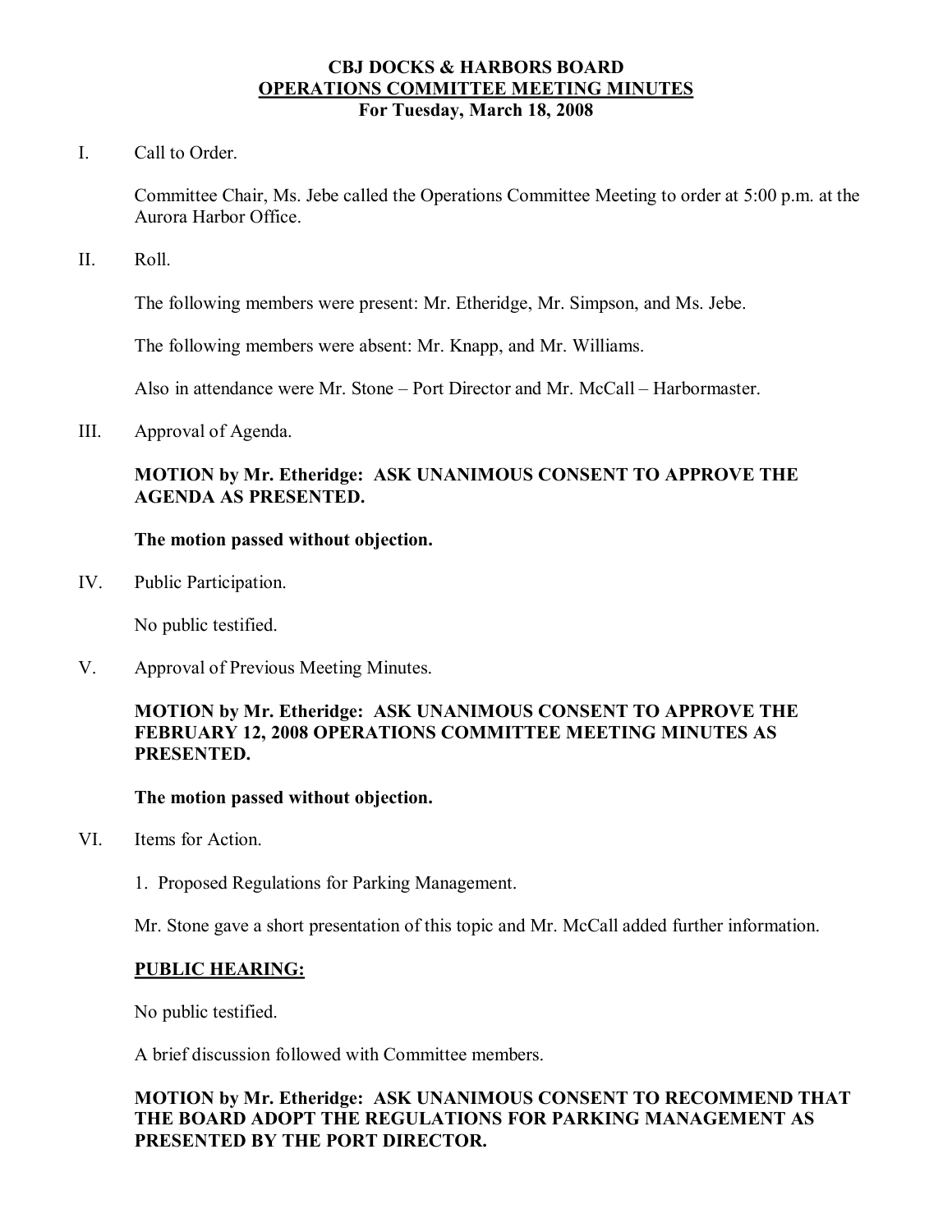### **CBJ DOCKS & HARBORS BOARD OPERATIONS COMMITTEE MEETING MINUTES For Tuesday, March 18, 2008**

I. Call to Order.

Committee Chair, Ms. Jebe called the Operations Committee Meeting to order at 5:00 p.m. at the Aurora Harbor Office.

II. Roll.

The following members were present: Mr. Etheridge, Mr. Simpson, and Ms. Jebe.

The following members were absent: Mr. Knapp, and Mr. Williams.

Also in attendance were Mr. Stone – Port Director and Mr. McCall – Harbormaster.

III. Approval of Agenda.

# **MOTION by Mr. Etheridge: ASK UNANIMOUS CONSENT TO APPROVE THE AGENDA AS PRESENTED.**

#### **The motion passed without objection.**

IV. Public Participation.

No public testified.

V. Approval of Previous Meeting Minutes.

## **MOTION by Mr. Etheridge: ASK UNANIMOUS CONSENT TO APPROVE THE FEBRUARY 12, 2008 OPERATIONS COMMITTEE MEETING MINUTES AS PRESENTED.**

#### **The motion passed without objection.**

- VI. Items for Action.
	- 1. Proposed Regulations for Parking Management.

Mr. Stone gave a short presentation of this topic and Mr. McCall added further information.

### **PUBLIC HEARING:**

No public testified.

A brief discussion followed with Committee members.

# **MOTION by Mr. Etheridge: ASK UNANIMOUS CONSENT TO RECOMMEND THAT THE BOARD ADOPT THE REGULATIONS FOR PARKING MANAGEMENT AS PRESENTED BY THE PORT DIRECTOR.**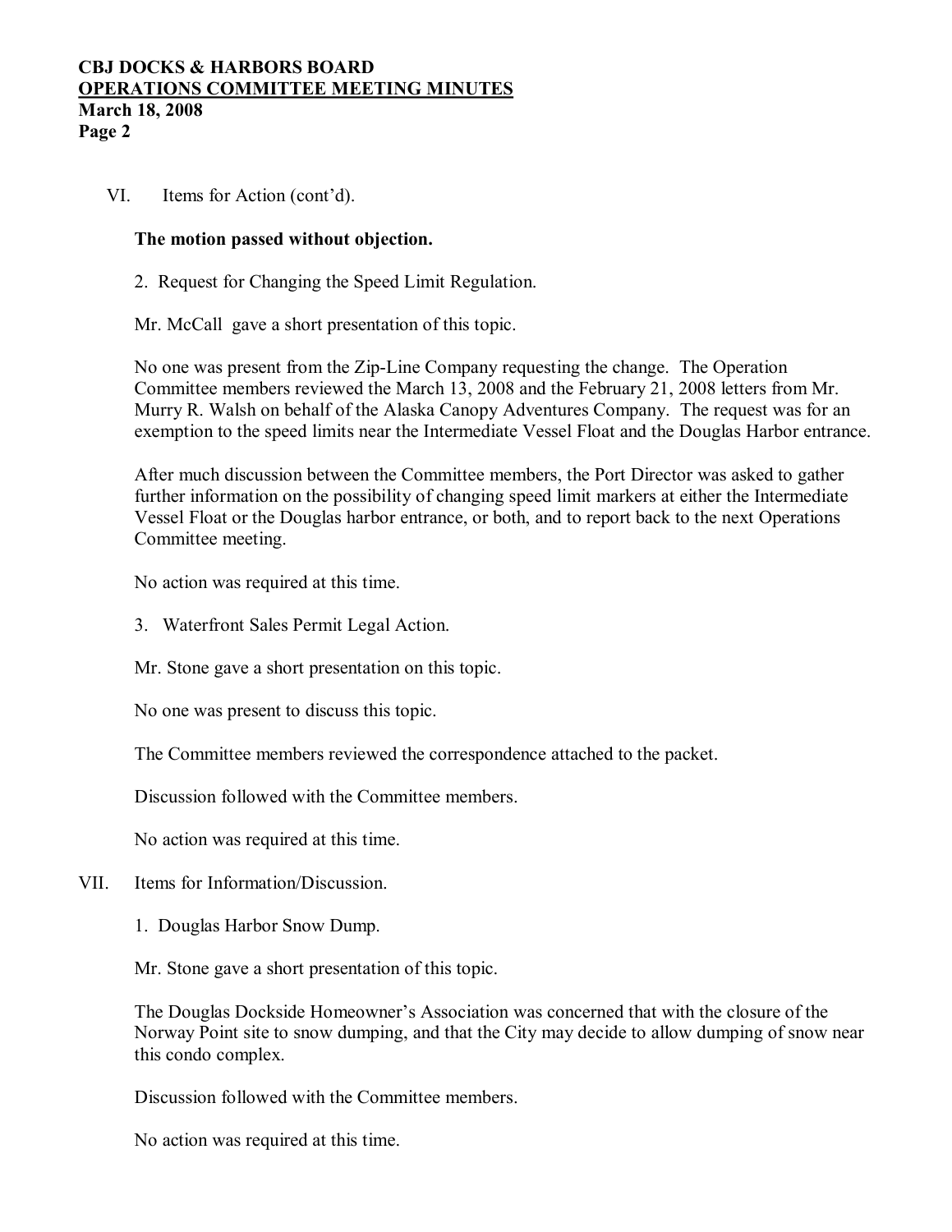### **CBJ DOCKS & HARBORS BOARD OPERATIONS COMMITTEE MEETING MINUTES March 18, 2008 Page 2**

VI. Items for Action (cont'd).

### **The motion passed without objection.**

2. Request for Changing the Speed Limit Regulation.

Mr. McCall gave a short presentation of this topic.

No one was present from the Zip-Line Company requesting the change. The Operation Committee members reviewed the March 13, 2008 and the February 21, 2008 letters from Mr. Murry R. Walsh on behalf of the Alaska Canopy Adventures Company. The request was for an exemption to the speed limits near the Intermediate Vessel Float and the Douglas Harbor entrance.

After much discussion between the Committee members, the Port Director was asked to gather further information on the possibility of changing speed limit markers at either the Intermediate Vessel Float or the Douglas harbor entrance, or both, and to report back to the next Operations Committee meeting.

No action was required at this time.

3. Waterfront Sales Permit Legal Action.

Mr. Stone gave a short presentation on this topic.

No one was present to discuss this topic.

The Committee members reviewed the correspondence attached to the packet.

Discussion followed with the Committee members.

No action was required at this time.

- VII. Items for Information/Discussion.
	- 1. Douglas Harbor Snow Dump.

Mr. Stone gave a short presentation of this topic.

The Douglas Dockside Homeowner's Association was concerned that with the closure of the Norway Point site to snow dumping, and that the City may decide to allow dumping of snow near this condo complex.

Discussion followed with the Committee members.

No action was required at this time.